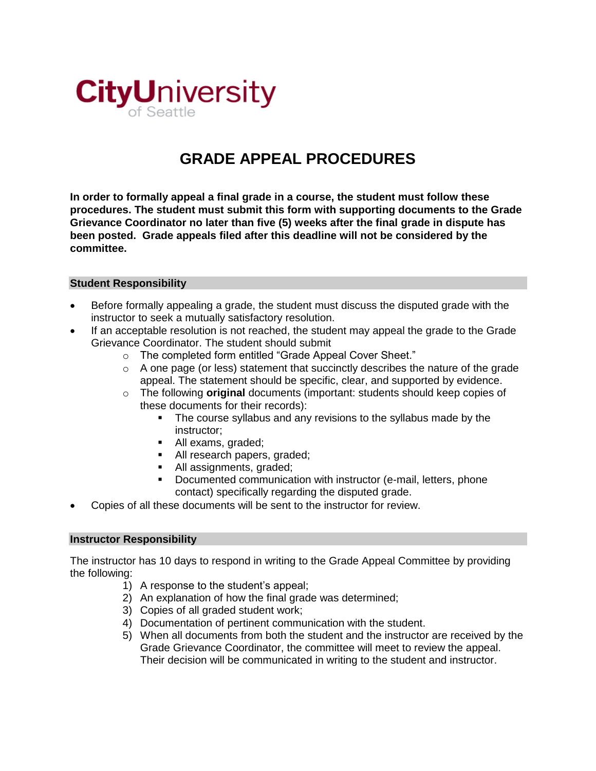

## **GRADE APPEAL PROCEDURES**

**In order to formally appeal a final grade in a course, the student must follow these procedures. The student must submit this form with supporting documents to the Grade Grievance Coordinator no later than five (5) weeks after the final grade in dispute has been posted. Grade appeals filed after this deadline will not be considered by the committee.**

## **Student Responsibility**

- Before formally appealing a grade, the student must discuss the disputed grade with the instructor to seek a mutually satisfactory resolution.
- If an acceptable resolution is not reached, the student may appeal the grade to the Grade Grievance Coordinator. The student should submit
	- o The completed form entitled "Grade Appeal Cover Sheet."
	- $\circ$  A one page (or less) statement that succinctly describes the nature of the grade appeal. The statement should be specific, clear, and supported by evidence.
	- o The following **original** documents (important: students should keep copies of these documents for their records):
		- The course syllabus and any revisions to the syllabus made by the instructor;
		- All exams, graded;
		- All research papers, graded;
		- All assignments, graded:
		- Documented communication with instructor (e-mail, letters, phone contact) specifically regarding the disputed grade.
- Copies of all these documents will be sent to the instructor for review.

## **Instructor Responsibility**

The instructor has 10 days to respond in writing to the Grade Appeal Committee by providing the following:

- 1) A response to the student's appeal;
- 2) An explanation of how the final grade was determined;
- 3) Copies of all graded student work;
- 4) Documentation of pertinent communication with the student.
- 5) When all documents from both the student and the instructor are received by the Grade Grievance Coordinator, the committee will meet to review the appeal. Their decision will be communicated in writing to the student and instructor.